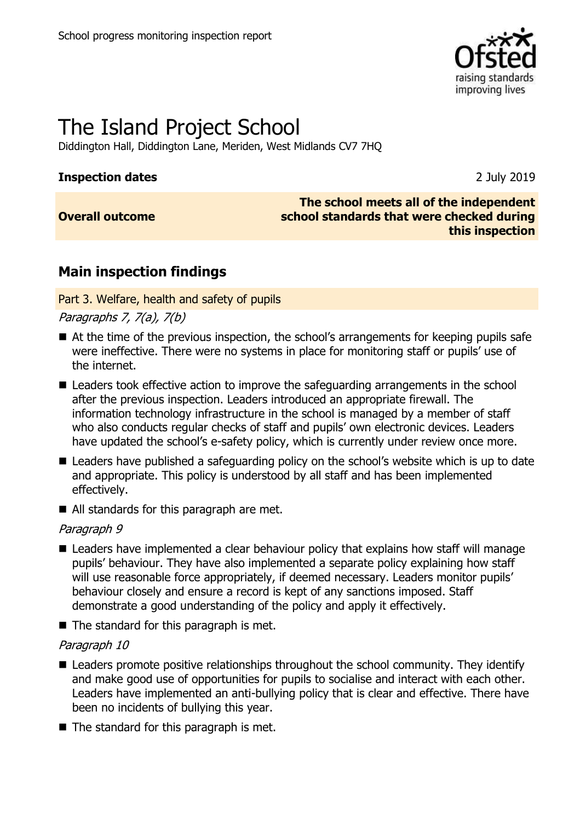

# The Island Project School

Diddington Hall, Diddington Lane, Meriden, West Midlands CV7 7HQ

#### **Inspection dates** 2 July 2019

### **Overall outcome**

#### **The school meets all of the independent school standards that were checked during this inspection**

## **Main inspection findings**

Part 3. Welfare, health and safety of pupils

Paragraphs 7, 7(a), 7(b)

- At the time of the previous inspection, the school's arrangements for keeping pupils safe were ineffective. There were no systems in place for monitoring staff or pupils' use of the internet.
- Leaders took effective action to improve the safeguarding arrangements in the school after the previous inspection. Leaders introduced an appropriate firewall. The information technology infrastructure in the school is managed by a member of staff who also conducts regular checks of staff and pupils' own electronic devices. Leaders have updated the school's e-safety policy, which is currently under review once more.
- Leaders have published a safeguarding policy on the school's website which is up to date and appropriate. This policy is understood by all staff and has been implemented effectively.
- All standards for this paragraph are met.

#### Paragraph 9

- Leaders have implemented a clear behaviour policy that explains how staff will manage pupils' behaviour. They have also implemented a separate policy explaining how staff will use reasonable force appropriately, if deemed necessary. Leaders monitor pupils' behaviour closely and ensure a record is kept of any sanctions imposed. Staff demonstrate a good understanding of the policy and apply it effectively.
- The standard for this paragraph is met.

#### Paragraph 10

- Leaders promote positive relationships throughout the school community. They identify and make good use of opportunities for pupils to socialise and interact with each other. Leaders have implemented an anti-bullying policy that is clear and effective. There have been no incidents of bullying this year.
- The standard for this paragraph is met.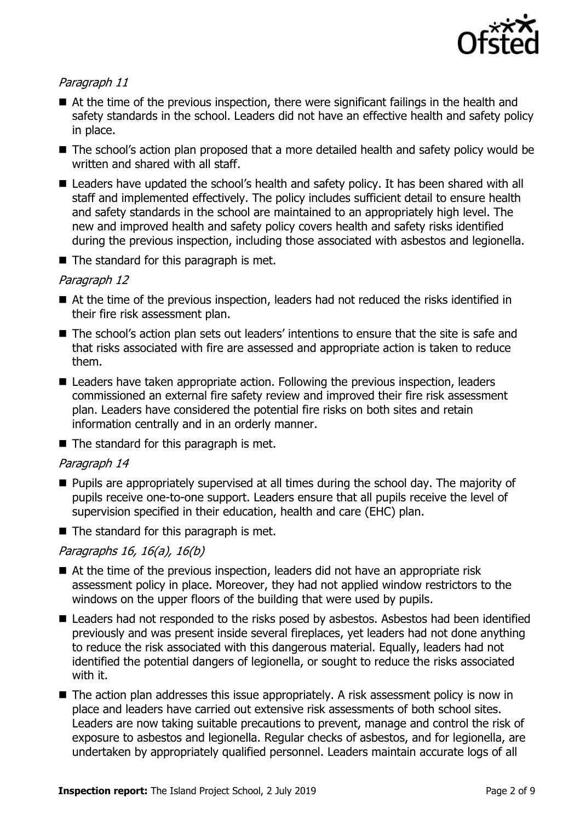

#### Paragraph 11

- At the time of the previous inspection, there were significant failings in the health and safety standards in the school. Leaders did not have an effective health and safety policy in place.
- The school's action plan proposed that a more detailed health and safety policy would be written and shared with all staff.
- Leaders have updated the school's health and safety policy. It has been shared with all staff and implemented effectively. The policy includes sufficient detail to ensure health and safety standards in the school are maintained to an appropriately high level. The new and improved health and safety policy covers health and safety risks identified during the previous inspection, including those associated with asbestos and legionella.
- The standard for this paragraph is met.

#### Paragraph 12

- At the time of the previous inspection, leaders had not reduced the risks identified in their fire risk assessment plan.
- The school's action plan sets out leaders' intentions to ensure that the site is safe and that risks associated with fire are assessed and appropriate action is taken to reduce them.
- Leaders have taken appropriate action. Following the previous inspection, leaders commissioned an external fire safety review and improved their fire risk assessment plan. Leaders have considered the potential fire risks on both sites and retain information centrally and in an orderly manner.

 $\blacksquare$  The standard for this paragraph is met.

#### Paragraph 14

- **Pupils are appropriately supervised at all times during the school day. The majority of** pupils receive one-to-one support. Leaders ensure that all pupils receive the level of supervision specified in their education, health and care (EHC) plan.
- $\blacksquare$  The standard for this paragraph is met.

#### Paragraphs 16, 16(a), 16(b)

- At the time of the previous inspection, leaders did not have an appropriate risk assessment policy in place. Moreover, they had not applied window restrictors to the windows on the upper floors of the building that were used by pupils.
- Leaders had not responded to the risks posed by asbestos. Asbestos had been identified previously and was present inside several fireplaces, yet leaders had not done anything to reduce the risk associated with this dangerous material. Equally, leaders had not identified the potential dangers of legionella, or sought to reduce the risks associated with it.
- The action plan addresses this issue appropriately. A risk assessment policy is now in place and leaders have carried out extensive risk assessments of both school sites. Leaders are now taking suitable precautions to prevent, manage and control the risk of exposure to asbestos and legionella. Regular checks of asbestos, and for legionella, are undertaken by appropriately qualified personnel. Leaders maintain accurate logs of all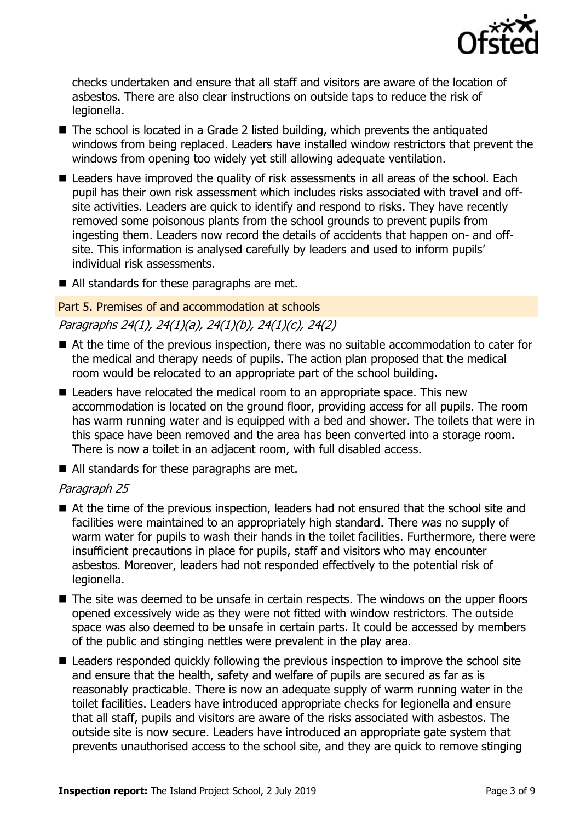

checks undertaken and ensure that all staff and visitors are aware of the location of asbestos. There are also clear instructions on outside taps to reduce the risk of legionella.

- The school is located in a Grade 2 listed building, which prevents the antiquated windows from being replaced. Leaders have installed window restrictors that prevent the windows from opening too widely yet still allowing adequate ventilation.
- Leaders have improved the quality of risk assessments in all areas of the school. Each pupil has their own risk assessment which includes risks associated with travel and offsite activities. Leaders are quick to identify and respond to risks. They have recently removed some poisonous plants from the school grounds to prevent pupils from ingesting them. Leaders now record the details of accidents that happen on- and offsite. This information is analysed carefully by leaders and used to inform pupils' individual risk assessments.
- All standards for these paragraphs are met.

#### Part 5. Premises of and accommodation at schools Paragraphs 24(1), 24(1)(a), 24(1)(b), 24(1)(c), 24(2)

- At the time of the previous inspection, there was no suitable accommodation to cater for the medical and therapy needs of pupils. The action plan proposed that the medical room would be relocated to an appropriate part of the school building.
- Leaders have relocated the medical room to an appropriate space. This new accommodation is located on the ground floor, providing access for all pupils. The room has warm running water and is equipped with a bed and shower. The toilets that were in this space have been removed and the area has been converted into a storage room. There is now a toilet in an adjacent room, with full disabled access.
- All standards for these paragraphs are met.

#### Paragraph 25

- At the time of the previous inspection, leaders had not ensured that the school site and facilities were maintained to an appropriately high standard. There was no supply of warm water for pupils to wash their hands in the toilet facilities. Furthermore, there were insufficient precautions in place for pupils, staff and visitors who may encounter asbestos. Moreover, leaders had not responded effectively to the potential risk of legionella.
- The site was deemed to be unsafe in certain respects. The windows on the upper floors opened excessively wide as they were not fitted with window restrictors. The outside space was also deemed to be unsafe in certain parts. It could be accessed by members of the public and stinging nettles were prevalent in the play area.
- Leaders responded quickly following the previous inspection to improve the school site and ensure that the health, safety and welfare of pupils are secured as far as is reasonably practicable. There is now an adequate supply of warm running water in the toilet facilities. Leaders have introduced appropriate checks for legionella and ensure that all staff, pupils and visitors are aware of the risks associated with asbestos. The outside site is now secure. Leaders have introduced an appropriate gate system that prevents unauthorised access to the school site, and they are quick to remove stinging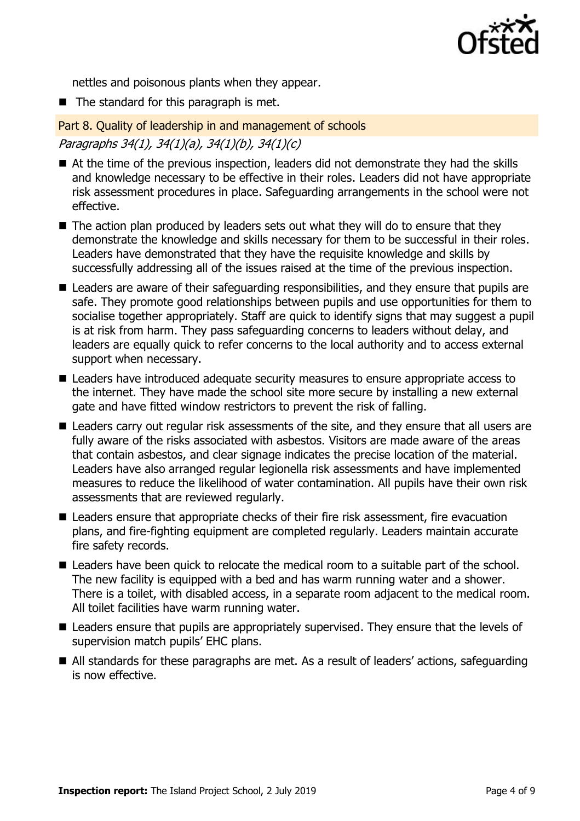

nettles and poisonous plants when they appear.

 $\blacksquare$  The standard for this paragraph is met.

Part 8. Quality of leadership in and management of schools Paragraphs 34(1), 34(1)(a), 34(1)(b), 34(1)(c)

- At the time of the previous inspection, leaders did not demonstrate they had the skills and knowledge necessary to be effective in their roles. Leaders did not have appropriate risk assessment procedures in place. Safeguarding arrangements in the school were not effective.
- $\blacksquare$  The action plan produced by leaders sets out what they will do to ensure that they demonstrate the knowledge and skills necessary for them to be successful in their roles. Leaders have demonstrated that they have the requisite knowledge and skills by successfully addressing all of the issues raised at the time of the previous inspection.
- Leaders are aware of their safeguarding responsibilities, and they ensure that pupils are safe. They promote good relationships between pupils and use opportunities for them to socialise together appropriately. Staff are quick to identify signs that may suggest a pupil is at risk from harm. They pass safeguarding concerns to leaders without delay, and leaders are equally quick to refer concerns to the local authority and to access external support when necessary.
- Leaders have introduced adequate security measures to ensure appropriate access to the internet. They have made the school site more secure by installing a new external gate and have fitted window restrictors to prevent the risk of falling.
- Leaders carry out regular risk assessments of the site, and they ensure that all users are fully aware of the risks associated with asbestos. Visitors are made aware of the areas that contain asbestos, and clear signage indicates the precise location of the material. Leaders have also arranged regular legionella risk assessments and have implemented measures to reduce the likelihood of water contamination. All pupils have their own risk assessments that are reviewed regularly.
- Leaders ensure that appropriate checks of their fire risk assessment, fire evacuation plans, and fire-fighting equipment are completed regularly. Leaders maintain accurate fire safety records.
- Leaders have been quick to relocate the medical room to a suitable part of the school. The new facility is equipped with a bed and has warm running water and a shower. There is a toilet, with disabled access, in a separate room adjacent to the medical room. All toilet facilities have warm running water.
- Leaders ensure that pupils are appropriately supervised. They ensure that the levels of supervision match pupils' EHC plans.
- All standards for these paragraphs are met. As a result of leaders' actions, safeguarding is now effective.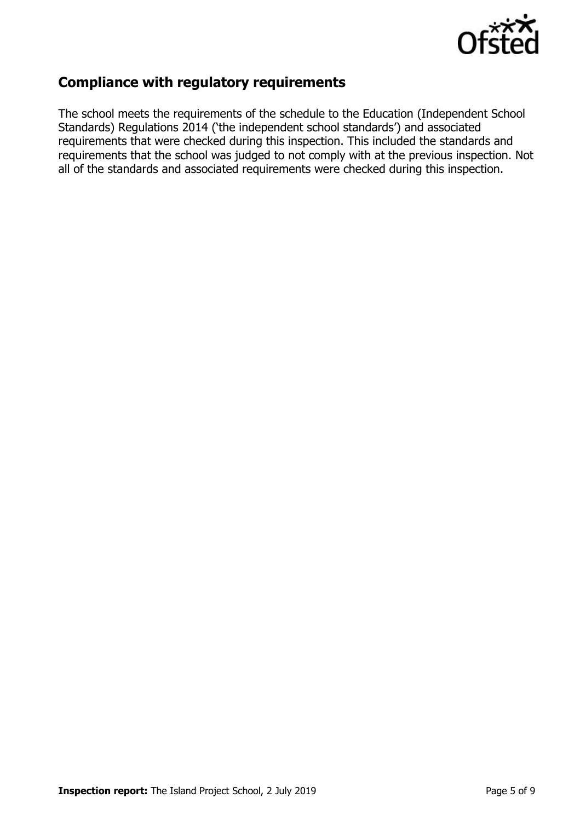

## **Compliance with regulatory requirements**

The school meets the requirements of the schedule to the Education (Independent School Standards) Regulations 2014 ('the independent school standards') and associated requirements that were checked during this inspection. This included the standards and requirements that the school was judged to not comply with at the previous inspection. Not all of the standards and associated requirements were checked during this inspection.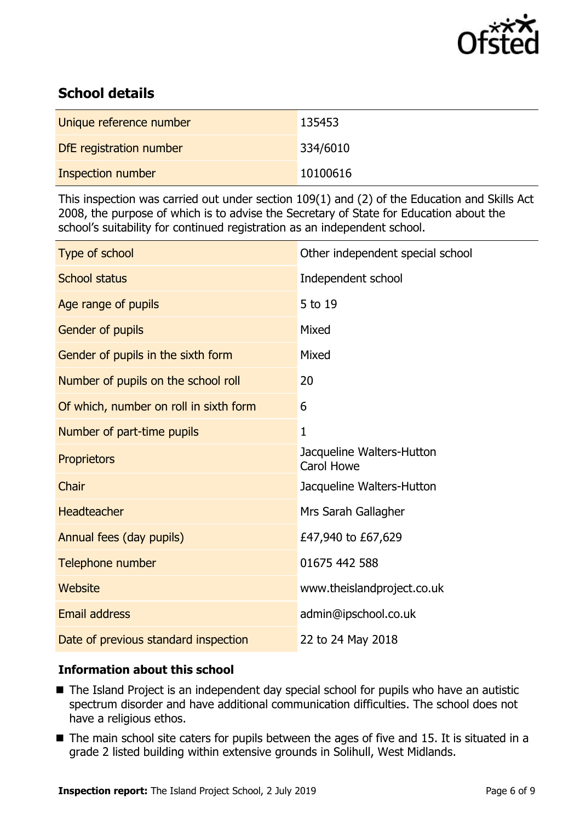

## **School details**

| Unique reference number | 135453   |
|-------------------------|----------|
| DfE registration number | 334/6010 |
| Inspection number       | 10100616 |

This inspection was carried out under section 109(1) and (2) of the Education and Skills Act 2008, the purpose of which is to advise the Secretary of State for Education about the school's suitability for continued registration as an independent school.

| Type of school                         | Other independent special school               |
|----------------------------------------|------------------------------------------------|
| <b>School status</b>                   | Independent school                             |
| Age range of pupils                    | 5 to 19                                        |
| Gender of pupils                       | Mixed                                          |
| Gender of pupils in the sixth form     | Mixed                                          |
| Number of pupils on the school roll    | 20                                             |
| Of which, number on roll in sixth form | 6                                              |
| Number of part-time pupils             | $\mathbf{1}$                                   |
| <b>Proprietors</b>                     | Jacqueline Walters-Hutton<br><b>Carol Howe</b> |
| Chair                                  | Jacqueline Walters-Hutton                      |
| <b>Headteacher</b>                     | Mrs Sarah Gallagher                            |
| Annual fees (day pupils)               | £47,940 to £67,629                             |
| Telephone number                       | 01675 442 588                                  |
| Website                                | www.theislandproject.co.uk                     |
| <b>Email address</b>                   | admin@ipschool.co.uk                           |
| Date of previous standard inspection   | 22 to 24 May 2018                              |

#### **Information about this school**

- The Island Project is an independent day special school for pupils who have an autistic spectrum disorder and have additional communication difficulties. The school does not have a religious ethos.
- $\blacksquare$  The main school site caters for pupils between the ages of five and 15. It is situated in a grade 2 listed building within extensive grounds in Solihull, West Midlands.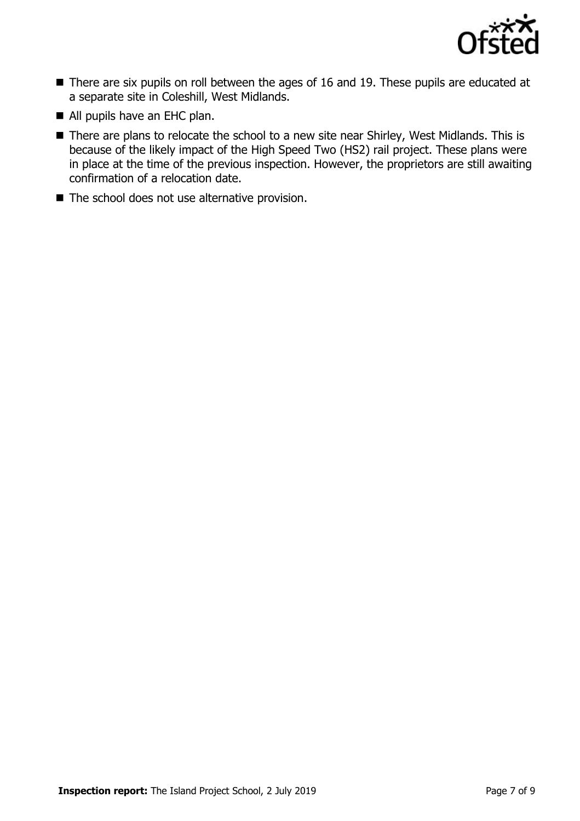

- There are six pupils on roll between the ages of 16 and 19. These pupils are educated at a separate site in Coleshill, West Midlands.
- All pupils have an EHC plan.
- There are plans to relocate the school to a new site near Shirley, West Midlands. This is because of the likely impact of the High Speed Two (HS2) rail project. These plans were in place at the time of the previous inspection. However, the proprietors are still awaiting confirmation of a relocation date.
- The school does not use alternative provision.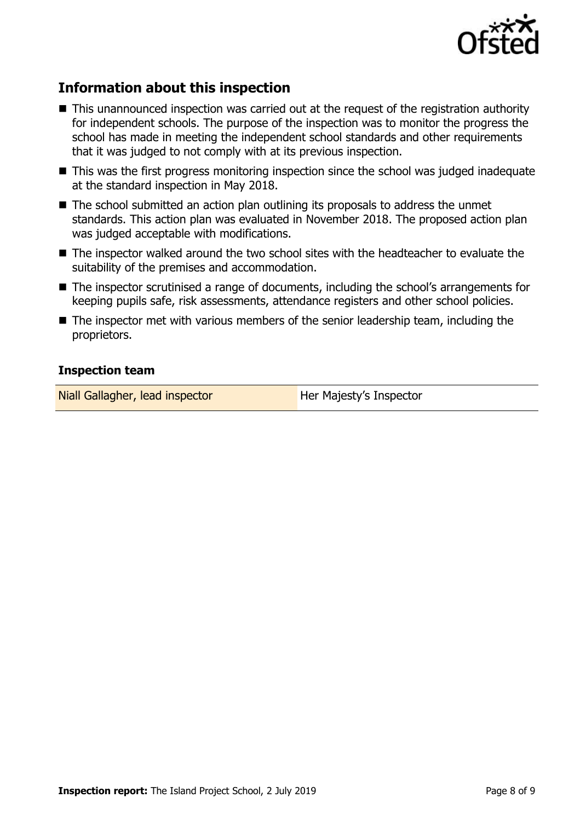

## **Information about this inspection**

- This unannounced inspection was carried out at the request of the registration authority for independent schools. The purpose of the inspection was to monitor the progress the school has made in meeting the independent school standards and other requirements that it was judged to not comply with at its previous inspection.
- This was the first progress monitoring inspection since the school was judged inadequate at the standard inspection in May 2018.
- The school submitted an action plan outlining its proposals to address the unmet standards. This action plan was evaluated in November 2018. The proposed action plan was judged acceptable with modifications.
- The inspector walked around the two school sites with the headteacher to evaluate the suitability of the premises and accommodation.
- The inspector scrutinised a range of documents, including the school's arrangements for keeping pupils safe, risk assessments, attendance registers and other school policies.
- The inspector met with various members of the senior leadership team, including the proprietors.

#### **Inspection team**

Niall Gallagher, lead inspector **Her Majesty's Inspector**